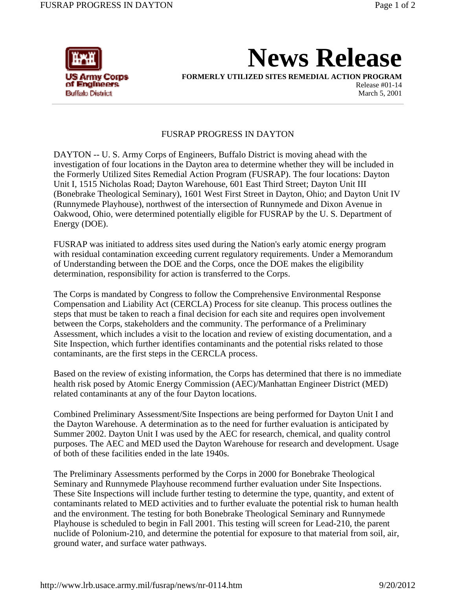

**News Release**

**FORMERLY UTILIZED SITES REMEDIAL ACTION PROGRAM**

Release #01-14 March 5, 2001

## FUSRAP PROGRESS IN DAYTON

DAYTON -- U. S. Army Corps of Engineers, Buffalo District is moving ahead with the investigation of four locations in the Dayton area to determine whether they will be included in the Formerly Utilized Sites Remedial Action Program (FUSRAP). The four locations: Dayton Unit I, 1515 Nicholas Road; Dayton Warehouse, 601 East Third Street; Dayton Unit III (Bonebrake Theological Seminary), 1601 West First Street in Dayton, Ohio; and Dayton Unit IV (Runnymede Playhouse), northwest of the intersection of Runnymede and Dixon Avenue in Oakwood, Ohio, were determined potentially eligible for FUSRAP by the U. S. Department of Energy (DOE).

FUSRAP was initiated to address sites used during the Nation's early atomic energy program with residual contamination exceeding current regulatory requirements. Under a Memorandum of Understanding between the DOE and the Corps, once the DOE makes the eligibility determination, responsibility for action is transferred to the Corps.

The Corps is mandated by Congress to follow the Comprehensive Environmental Response Compensation and Liability Act (CERCLA) Process for site cleanup. This process outlines the steps that must be taken to reach a final decision for each site and requires open involvement between the Corps, stakeholders and the community. The performance of a Preliminary Assessment, which includes a visit to the location and review of existing documentation, and a Site Inspection, which further identifies contaminants and the potential risks related to those contaminants, are the first steps in the CERCLA process.

Based on the review of existing information, the Corps has determined that there is no immediate health risk posed by Atomic Energy Commission (AEC)/Manhattan Engineer District (MED) related contaminants at any of the four Dayton locations.

Combined Preliminary Assessment/Site Inspections are being performed for Dayton Unit I and the Dayton Warehouse. A determination as to the need for further evaluation is anticipated by Summer 2002. Dayton Unit I was used by the AEC for research, chemical, and quality control purposes. The AEC and MED used the Dayton Warehouse for research and development. Usage of both of these facilities ended in the late 1940s.

The Preliminary Assessments performed by the Corps in 2000 for Bonebrake Theological Seminary and Runnymede Playhouse recommend further evaluation under Site Inspections. These Site Inspections will include further testing to determine the type, quantity, and extent of contaminants related to MED activities and to further evaluate the potential risk to human health and the environment. The testing for both Bonebrake Theological Seminary and Runnymede Playhouse is scheduled to begin in Fall 2001. This testing will screen for Lead-210, the parent nuclide of Polonium-210, and determine the potential for exposure to that material from soil, air, ground water, and surface water pathways.